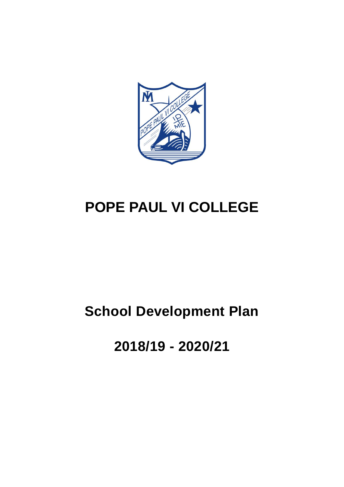

# **POPE PAUL VI COLLEGE**

## **School Development Plan**

**2018/19 - 2020/21**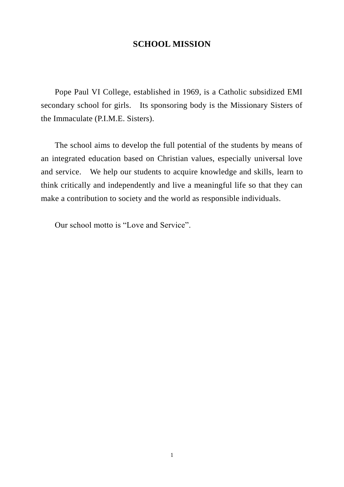## **SCHOOL MISSION**

Pope Paul VI College, established in 1969, is a Catholic subsidized EMI secondary school for girls. Its sponsoring body is the Missionary Sisters of the Immaculate (P.I.M.E. Sisters).

The school aims to develop the full potential of the students by means of an integrated education based on Christian values, especially universal love and service. We help our students to acquire knowledge and skills, learn to think critically and independently and live a meaningful life so that they can make a contribution to society and the world as responsible individuals.

Our school motto is "Love and Service".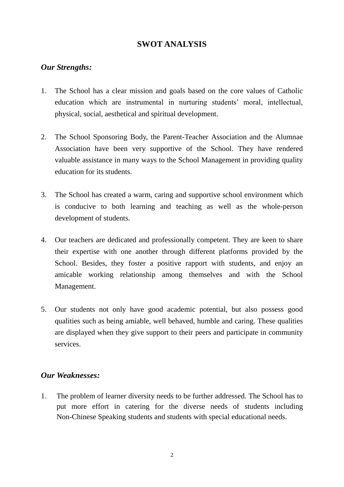## **SWOT ANALYSIS**

#### *Our Strengths:*

- 1. The School has a clear mission and goals based on the core values of Catholic education which are instrumental in nurturing students' moral, intellectual, physical, social, aesthetical and spiritual development.
- 2. The School Sponsoring Body, the Parent-Teacher Association and the Alumnae Association have been very supportive of the School. They have rendered valuable assistance in many ways to the School Management in providing quality education for its students.
- 3. The School has created a warm, caring and supportive school environment which is conducive to both learning and teaching as well as the whole-person development of students.
- 4. Our teachers are dedicated and professionally competent. They are keen to share their expertise with one another through different platforms provided by the School. Besides, they foster a positive rapport with students, and enjoy an amicable working relationship among themselves and with the School Management.
- 5. Our students not only have good academic potential, but also possess good qualities such as being amiable, well behaved, humble and caring. These qualities are displayed when they give support to their peers and participate in community services.

#### *Our Weaknesses:*

1. The problem of learner diversity needs to be further addressed. The School has to put more effort in catering for the diverse needs of students including Non-Chinese Speaking students and students with special educational needs.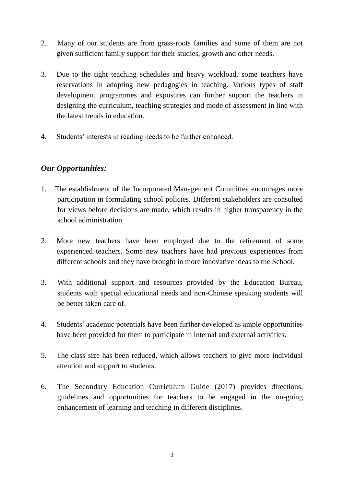- 2. Many of our students are from grass-roots families and some of them are not given sufficient family support for their studies, growth and other needs.
- 3. Due to the tight teaching schedules and heavy workload, some teachers have reservations in adopting new pedagogies in teaching. Various types of staff development programmes and exposures can further support the teachers in designing the curriculum, teaching strategies and mode of assessment in line with the latest trends in education.
- 4. Students' interests in reading needs to be further enhanced.

## *Our Opportunities:*

- 1. The establishment of the Incorporated Management Committee encourages more participation in formulating school policies. Different stakeholders are consulted for views before decisions are made, which results in higher transparency in the school administration.
- 2. More new teachers have been employed due to the retirement of some experienced teachers. Some new teachers have had previous experiences from different schools and they have brought in more innovative ideas to the School.
- 3. With additional support and resources provided by the Education Bureau, students with special educational needs and non-Chinese speaking students will be better taken care of.
- 4. Students' academic potentials have been further developed as ample opportunities have been provided for them to participate in internal and external activities.
- 5. The class size has been reduced, which allows teachers to give more individual attention and support to students.
- 6. The Secondary Education Curriculum Guide (2017) provides directions, guidelines and opportunities for teachers to be engaged in the on-going enhancement of learning and teaching in different disciplines.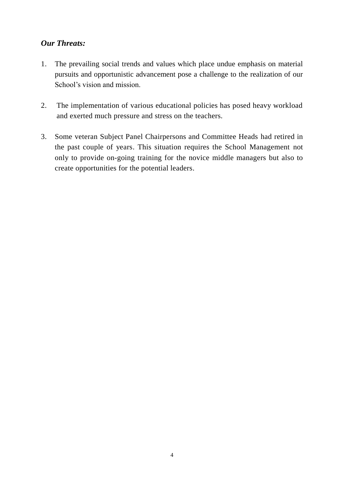## *Our Threats:*

- 1. The prevailing social trends and values which place undue emphasis on material pursuits and opportunistic advancement pose a challenge to the realization of our School's vision and mission.
- 2. The implementation of various educational policies has posed heavy workload and exerted much pressure and stress on the teachers.
- 3. Some veteran Subject Panel Chairpersons and Committee Heads had retired in the past couple of years. This situation requires the School Management not only to provide on-going training for the novice middle managers but also to create opportunities for the potential leaders.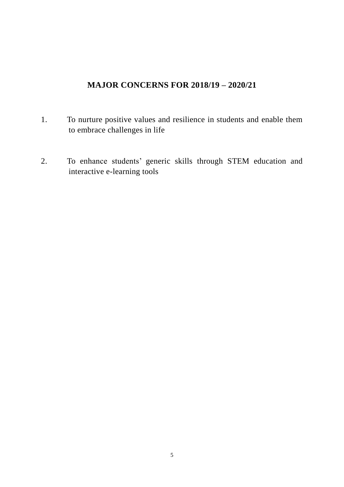## **MAJOR CONCERNS FOR 2018/19 – 2020/21**

- 1. To nurture positive values and resilience in students and enable them to embrace challenges in life
- 2. To enhance students' generic skills through STEM education and interactive e-learning tools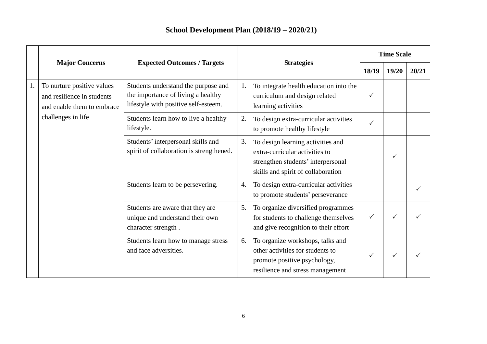## **School Development Plan (2018/19 – 2020/21)**

|    | <b>Major Concerns</b>                                                                                        | <b>Expected Outcomes / Targets</b>                                                                                |    |                                                                                                                                                 | <b>Time Scale</b> |       |       |
|----|--------------------------------------------------------------------------------------------------------------|-------------------------------------------------------------------------------------------------------------------|----|-------------------------------------------------------------------------------------------------------------------------------------------------|-------------------|-------|-------|
|    |                                                                                                              |                                                                                                                   |    | <b>Strategies</b>                                                                                                                               |                   | 19/20 | 20/21 |
| 1. | To nurture positive values<br>and resilience in students<br>and enable them to embrace<br>challenges in life | Students understand the purpose and<br>the importance of living a healthy<br>lifestyle with positive self-esteem. | 1. | To integrate health education into the<br>curriculum and design related<br>learning activities                                                  | ✓                 |       |       |
|    |                                                                                                              | Students learn how to live a healthy<br>lifestyle.                                                                | 2. | To design extra-curricular activities<br>to promote healthy lifestyle                                                                           | ✓                 |       |       |
|    |                                                                                                              | Students' interpersonal skills and<br>spirit of collaboration is strengthened.                                    | 3. | To design learning activities and<br>extra-curricular activities to<br>strengthen students' interpersonal<br>skills and spirit of collaboration |                   | ✓     |       |
|    |                                                                                                              | Students learn to be persevering.                                                                                 | 4. | To design extra-curricular activities<br>to promote students' perseverance                                                                      |                   |       |       |
|    |                                                                                                              | Students are aware that they are<br>unique and understand their own<br>character strength.                        | 5. | To organize diversified programmes<br>for students to challenge themselves<br>and give recognition to their effort                              | $\checkmark$      |       |       |
|    |                                                                                                              | Students learn how to manage stress<br>and face adversities.                                                      | 6. | To organize workshops, talks and<br>other activities for students to<br>promote positive psychology,<br>resilience and stress management        | $\checkmark$      | ✓     |       |